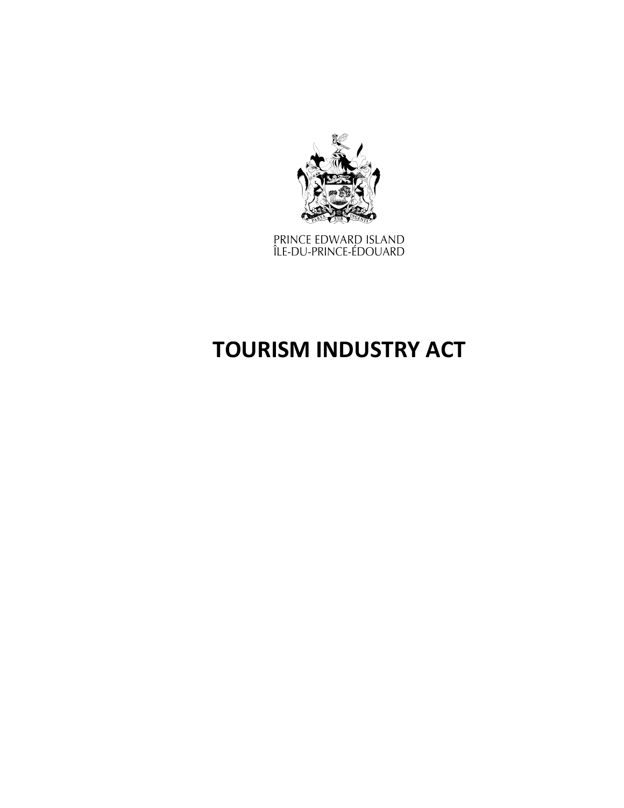

PRINCE EDWARD ISLAND<br>ÎLE-DU-PRINCE-ÉDOUARD

# **TOURISM INDUSTRY ACT**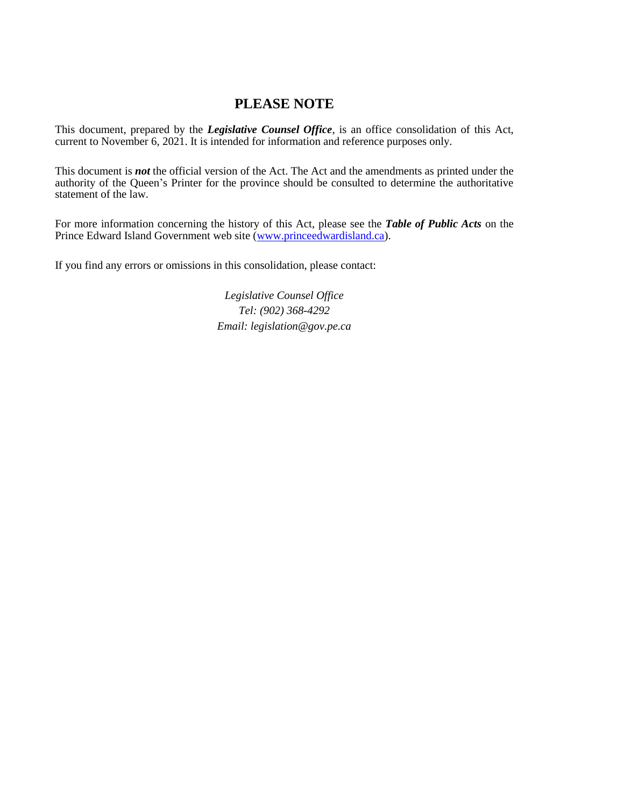# **PLEASE NOTE**

This document, prepared by the *[Legislative](http://www.gov.pe.ca/jps/index.php3?number=1027247) Counsel Office*, is an office consolidation of this Act, current to November 6, 2021. It is intended for information and reference purposes only.

This document is *not* the official version of the Act. The Act and the amendments as printed under the authority of the Queen's Printer for the province should be consulted to determine the authoritative statement of the law.

For more information concerning the history of this Act, please see the *[Table of Public Acts](https://www.princeedwardisland.ca/sites/default/files/publications/leg_table_acts.pdf)* on the Prince Edward Island Government web site [\(www.princeedwardisland.ca\)](http://www.princeedwardisland.ca/).

If you find any errors or omissions in this consolidation, please contact:

*Legislative Counsel Office Tel: (902) 368-4292 Email: legislation@gov.pe.ca*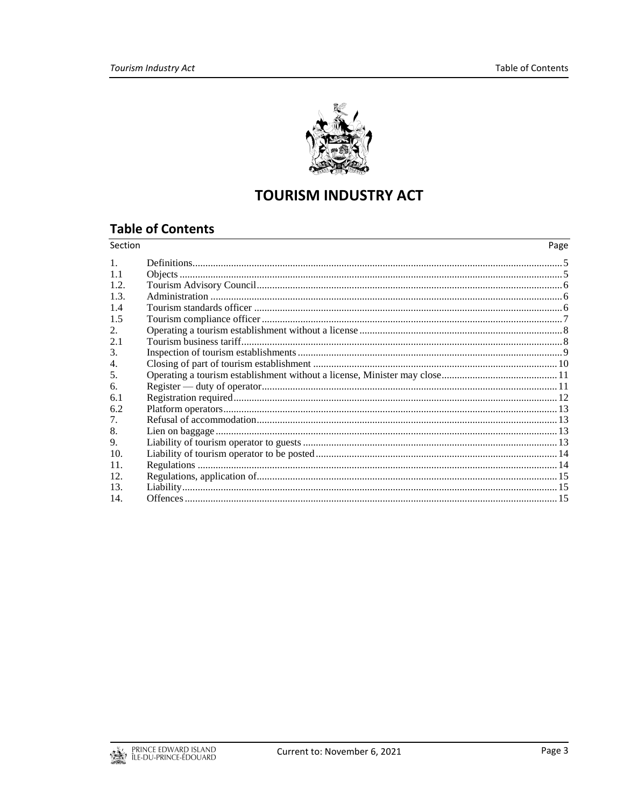

# **TOURISM INDUSTRY ACT**

# **Table of Contents**

| Section     | Page |
|-------------|------|
| $1_{\cdot}$ |      |
| 11          |      |
| 12          |      |
| 13          |      |
| 1.4         |      |
| 1.5         |      |
| 2.          |      |
| 2.1         |      |
| 3.          |      |
| 4.          |      |
| 5.          |      |
| 6.          |      |
| 6.1         |      |
| 6.2         |      |
| 7.          |      |
| 8.          |      |
| 9.          |      |
| 10.         |      |
| 11.         |      |
| 12.         |      |
| 13.         |      |
| 14.         |      |

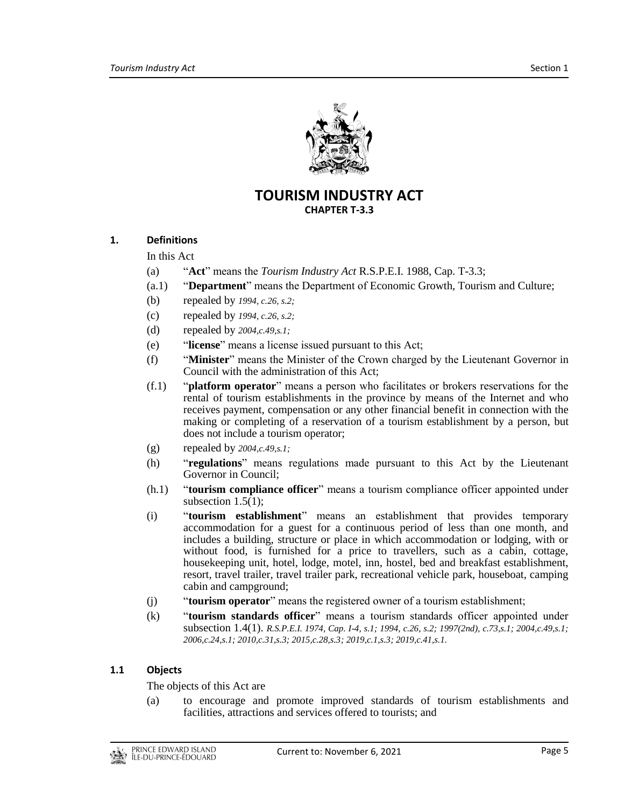

# **TOURISM INDUSTRY ACT CHAPTER T-3.3**

# <span id="page-4-0"></span>**1. Definitions**

In this Act

- (a) "**Act**" means the *Tourism Industry Act* R.S.P.E.I. 1988, Cap. T-3.3;
- (a.1) "**Department**" means the Department of Economic Growth, Tourism and Culture;
- (b) repealed by *1994, c.26, s.2;*
- (c) repealed by *1994, c.26, s.2;*
- (d) repealed by *2004,c.49,s.1;*
- (e) "**license**" means a license issued pursuant to this Act;
- (f) "**Minister**" means the Minister of the Crown charged by the Lieutenant Governor in Council with the administration of this Act;
- (f.1) "**platform operator**" means a person who facilitates or brokers reservations for the rental of tourism establishments in the province by means of the Internet and who receives payment, compensation or any other financial benefit in connection with the making or completing of a reservation of a tourism establishment by a person, but does not include a tourism operator;
- (g) repealed by *2004,c.49,s.1;*
- (h) "**regulations**" means regulations made pursuant to this Act by the Lieutenant Governor in Council;
- (h.1) "**tourism compliance officer**" means a tourism compliance officer appointed under subsection 1.5(1);
- (i) "**tourism establishment**" means an establishment that provides temporary accommodation for a guest for a continuous period of less than one month, and includes a building, structure or place in which accommodation or lodging, with or without food, is furnished for a price to travellers, such as a cabin, cottage, housekeeping unit, hotel, lodge, motel, inn, hostel, bed and breakfast establishment, resort, travel trailer, travel trailer park, recreational vehicle park, houseboat, camping cabin and campground;
- (j) "**tourism operator**" means the registered owner of a tourism establishment;
- (k) "**tourism standards officer**" means a tourism standards officer appointed under subsection 1.4(1). *R.S.P.E.I. 1974, Cap. I-4, s.1; 1994, c.26, s.2; 1997(2nd), c.73,s.1; 2004,c.49,s.1; 2006,c.24,s.1; 2010,c.31,s.3; 2015,c.28,s.3; 2019,c.1,s.3; 2019,c.41,s.1.*

#### <span id="page-4-1"></span>**1.1 Objects**

The objects of this Act are

(a) to encourage and promote improved standards of tourism establishments and facilities, attractions and services offered to tourists; and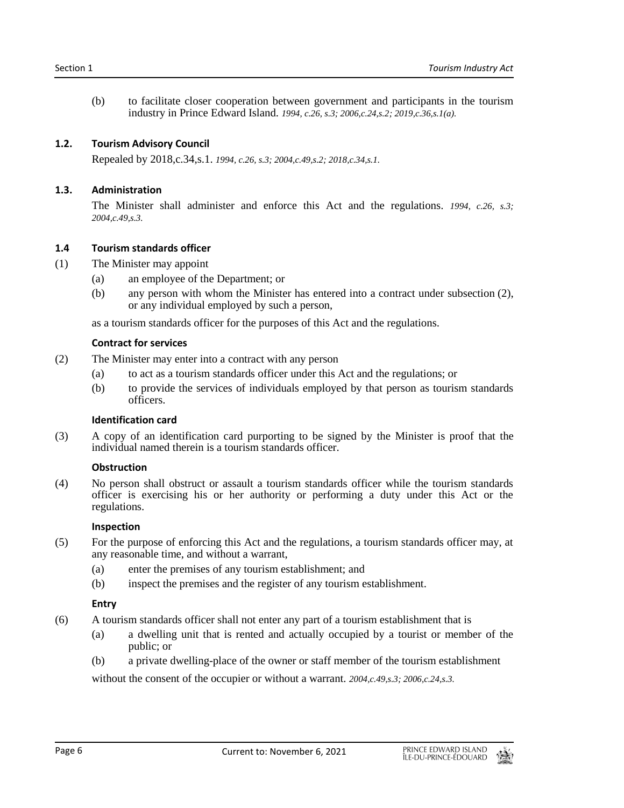(b) to facilitate closer cooperation between government and participants in the tourism industry in Prince Edward Island. *1994, c.26, s.3; 2006,c.24,s.2; 2019,c.36,s.1(a).*

#### <span id="page-5-0"></span>**1.2. Tourism Advisory Council**

Repealed by 2018,c.34,s.1. *1994, c.26, s.3; 2004,c.49,s.2; 2018,c.34,s.1.*

#### <span id="page-5-1"></span>**1.3. Administration**

The Minister shall administer and enforce this Act and the regulations. *1994, c.26, s.3; 2004,c.49,s.3.*

#### <span id="page-5-2"></span>**1.4 Tourism standards officer**

- (1) The Minister may appoint
	- (a) an employee of the Department; or
	- (b) any person with whom the Minister has entered into a contract under subsection (2), or any individual employed by such a person,

as a tourism standards officer for the purposes of this Act and the regulations.

#### **Contract for services**

- (2) The Minister may enter into a contract with any person
	- (a) to act as a tourism standards officer under this Act and the regulations; or
	- (b) to provide the services of individuals employed by that person as tourism standards officers.

#### **Identification card**

(3) A copy of an identification card purporting to be signed by the Minister is proof that the individual named therein is a tourism standards officer.

#### **Obstruction**

(4) No person shall obstruct or assault a tourism standards officer while the tourism standards officer is exercising his or her authority or performing a duty under this Act or the regulations.

#### **Inspection**

- (5) For the purpose of enforcing this Act and the regulations, a tourism standards officer may, at any reasonable time, and without a warrant,
	- (a) enter the premises of any tourism establishment; and
	- (b) inspect the premises and the register of any tourism establishment.

#### **Entry**

- (6) A tourism standards officer shall not enter any part of a tourism establishment that is
	- (a) a dwelling unit that is rented and actually occupied by a tourist or member of the public; or
	- (b) a private dwelling-place of the owner or staff member of the tourism establishment

without the consent of the occupier or without a warrant. *2004,c.49,s.3; 2006,c.24,s.3.*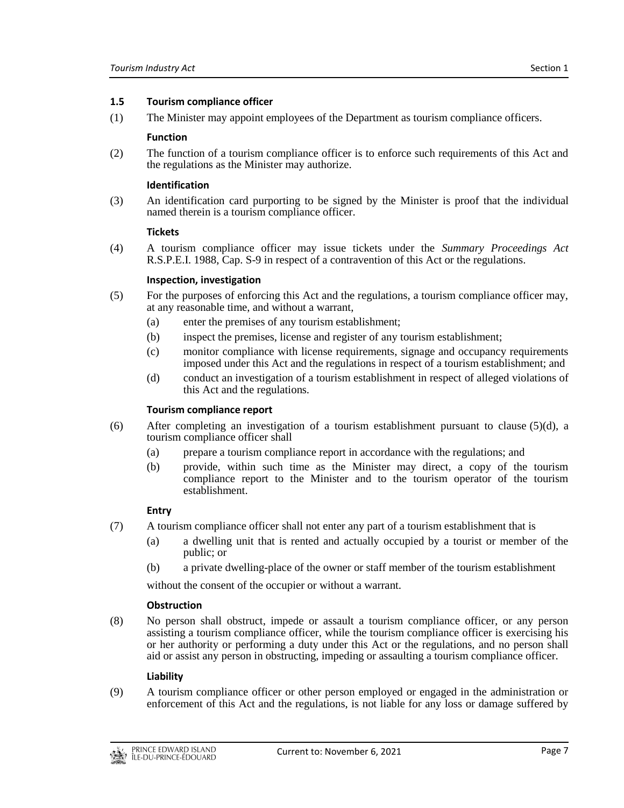#### <span id="page-6-0"></span>**1.5 Tourism compliance officer**

(1) The Minister may appoint employees of the Department as tourism compliance officers.

#### **Function**

(2) The function of a tourism compliance officer is to enforce such requirements of this Act and the regulations as the Minister may authorize.

#### **Identification**

(3) An identification card purporting to be signed by the Minister is proof that the individual named therein is a tourism compliance officer.

#### **Tickets**

(4) A tourism compliance officer may issue tickets under the *Summary Proceedings Act* R.S.P.E.I. 1988, Cap. S-9 in respect of a contravention of this Act or the regulations.

#### **Inspection, investigation**

- (5) For the purposes of enforcing this Act and the regulations, a tourism compliance officer may, at any reasonable time, and without a warrant,
	- (a) enter the premises of any tourism establishment;
	- (b) inspect the premises, license and register of any tourism establishment;
	- (c) monitor compliance with license requirements, signage and occupancy requirements imposed under this Act and the regulations in respect of a tourism establishment; and
	- (d) conduct an investigation of a tourism establishment in respect of alleged violations of this Act and the regulations.

#### **Tourism compliance report**

- (6) After completing an investigation of a tourism establishment pursuant to clause (5)(d), a tourism compliance officer shall
	- (a) prepare a tourism compliance report in accordance with the regulations; and
	- (b) provide, within such time as the Minister may direct, a copy of the tourism compliance report to the Minister and to the tourism operator of the tourism establishment.

#### **Entry**

- (7) A tourism compliance officer shall not enter any part of a tourism establishment that is
	- (a) a dwelling unit that is rented and actually occupied by a tourist or member of the public; or
	- (b) a private dwelling-place of the owner or staff member of the tourism establishment

without the consent of the occupier or without a warrant.

#### **Obstruction**

(8) No person shall obstruct, impede or assault a tourism compliance officer, or any person assisting a tourism compliance officer, while the tourism compliance officer is exercising his or her authority or performing a duty under this Act or the regulations, and no person shall aid or assist any person in obstructing, impeding or assaulting a tourism compliance officer.

#### **Liability**

(9) A tourism compliance officer or other person employed or engaged in the administration or enforcement of this Act and the regulations, is not liable for any loss or damage suffered by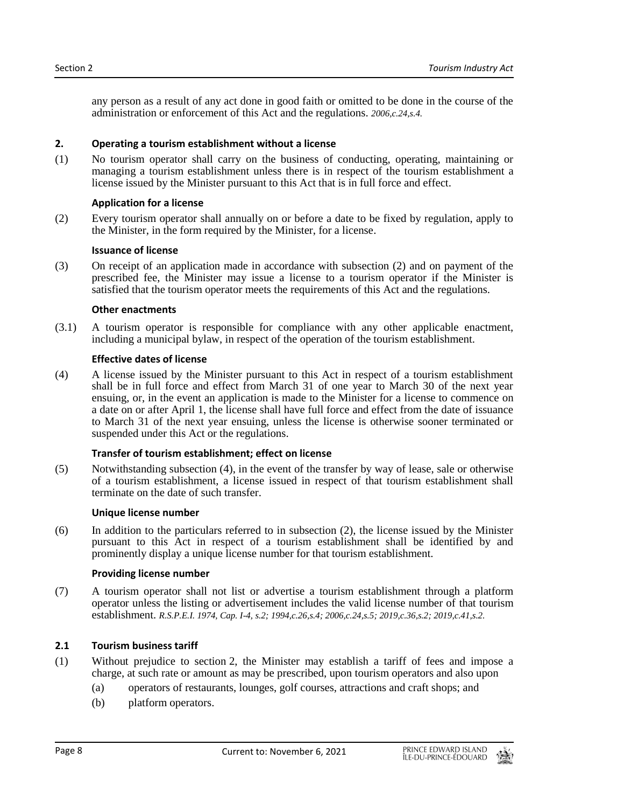any person as a result of any act done in good faith or omitted to be done in the course of the administration or enforcement of this Act and the regulations. *2006,c.24,s.4.*

#### <span id="page-7-0"></span>**2. Operating a tourism establishment without a license**

(1) No tourism operator shall carry on the business of conducting, operating, maintaining or managing a tourism establishment unless there is in respect of the tourism establishment a license issued by the Minister pursuant to this Act that is in full force and effect.

#### **Application for a license**

(2) Every tourism operator shall annually on or before a date to be fixed by regulation, apply to the Minister, in the form required by the Minister, for a license.

# **Issuance of license**

(3) On receipt of an application made in accordance with subsection (2) and on payment of the prescribed fee, the Minister may issue a license to a tourism operator if the Minister is satisfied that the tourism operator meets the requirements of this Act and the regulations.

#### **Other enactments**

(3.1) A tourism operator is responsible for compliance with any other applicable enactment, including a municipal bylaw, in respect of the operation of the tourism establishment.

# **Effective dates of license**

(4) A license issued by the Minister pursuant to this Act in respect of a tourism establishment shall be in full force and effect from March 31 of one year to March 30 of the next year ensuing, or, in the event an application is made to the Minister for a license to commence on a date on or after April 1, the license shall have full force and effect from the date of issuance to March 31 of the next year ensuing, unless the license is otherwise sooner terminated or suspended under this Act or the regulations.

# **Transfer of tourism establishment; effect on license**

(5) Notwithstanding subsection (4), in the event of the transfer by way of lease, sale or otherwise of a tourism establishment, a license issued in respect of that tourism establishment shall terminate on the date of such transfer.

#### **Unique license number**

(6) In addition to the particulars referred to in subsection (2), the license issued by the Minister pursuant to this Act in respect of a tourism establishment shall be identified by and prominently display a unique license number for that tourism establishment.

#### **Providing license number**

(7) A tourism operator shall not list or advertise a tourism establishment through a platform operator unless the listing or advertisement includes the valid license number of that tourism establishment. *R.S.P.E.I. 1974, Cap. I-4, s.2; 1994,c.26,s.4; 2006,c.24,s.5; 2019,c.36,s.2; 2019,c.41,s.2.*

# <span id="page-7-1"></span>**2.1 Tourism business tariff**

- (1) Without prejudice to section 2, the Minister may establish a tariff of fees and impose a charge, at such rate or amount as may be prescribed, upon tourism operators and also upon
	- (a) operators of restaurants, lounges, golf courses, attractions and craft shops; and
	- (b) platform operators.

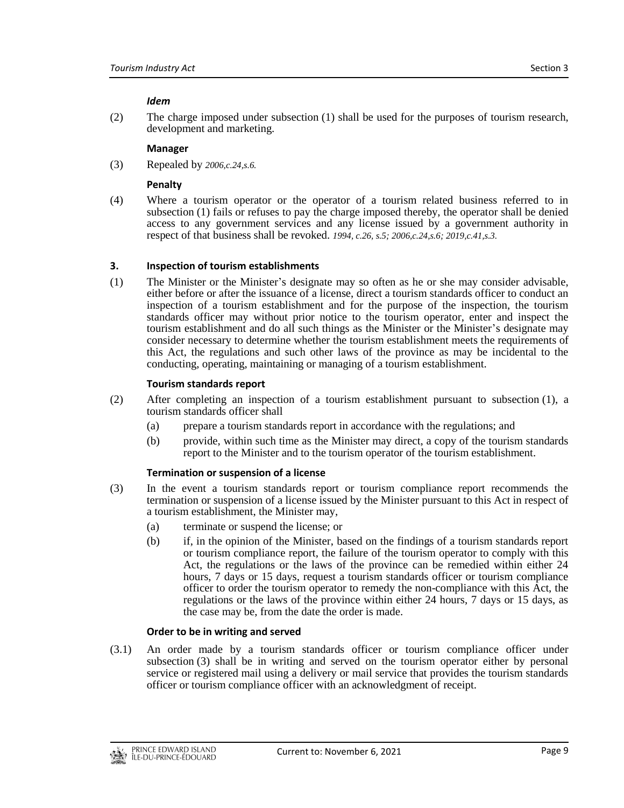#### *Idem*

(2) The charge imposed under subsection (1) shall be used for the purposes of tourism research, development and marketing.

#### **Manager**

(3) Repealed by *2006,c.24,s.6.*

#### **Penalty**

(4) Where a tourism operator or the operator of a tourism related business referred to in subsection (1) fails or refuses to pay the charge imposed thereby, the operator shall be denied access to any government services and any license issued by a government authority in respect of that business shall be revoked. *1994, c.26, s.5; 2006,c.24,s.6; 2019,c.41,s.3.*

#### <span id="page-8-0"></span>**3. Inspection of tourism establishments**

(1) The Minister or the Minister's designate may so often as he or she may consider advisable, either before or after the issuance of a license, direct a tourism standards officer to conduct an inspection of a tourism establishment and for the purpose of the inspection, the tourism standards officer may without prior notice to the tourism operator, enter and inspect the tourism establishment and do all such things as the Minister or the Minister's designate may consider necessary to determine whether the tourism establishment meets the requirements of this Act, the regulations and such other laws of the province as may be incidental to the conducting, operating, maintaining or managing of a tourism establishment.

#### **Tourism standards report**

- (2) After completing an inspection of a tourism establishment pursuant to subsection (1), a tourism standards officer shall
	- (a) prepare a tourism standards report in accordance with the regulations; and
	- (b) provide, within such time as the Minister may direct, a copy of the tourism standards report to the Minister and to the tourism operator of the tourism establishment.

#### **Termination or suspension of a license**

- (3) In the event a tourism standards report or tourism compliance report recommends the termination or suspension of a license issued by the Minister pursuant to this Act in respect of a tourism establishment, the Minister may,
	- (a) terminate or suspend the license; or
	- (b) if, in the opinion of the Minister, based on the findings of a tourism standards report or tourism compliance report, the failure of the tourism operator to comply with this Act, the regulations or the laws of the province can be remedied within either 24 hours, 7 days or 15 days, request a tourism standards officer or tourism compliance officer to order the tourism operator to remedy the non-compliance with this Act, the regulations or the laws of the province within either 24 hours, 7 days or 15 days, as the case may be, from the date the order is made.

#### **Order to be in writing and served**

(3.1) An order made by a tourism standards officer or tourism compliance officer under subsection (3) shall be in writing and served on the tourism operator either by personal service or registered mail using a delivery or mail service that provides the tourism standards officer or tourism compliance officer with an acknowledgment of receipt.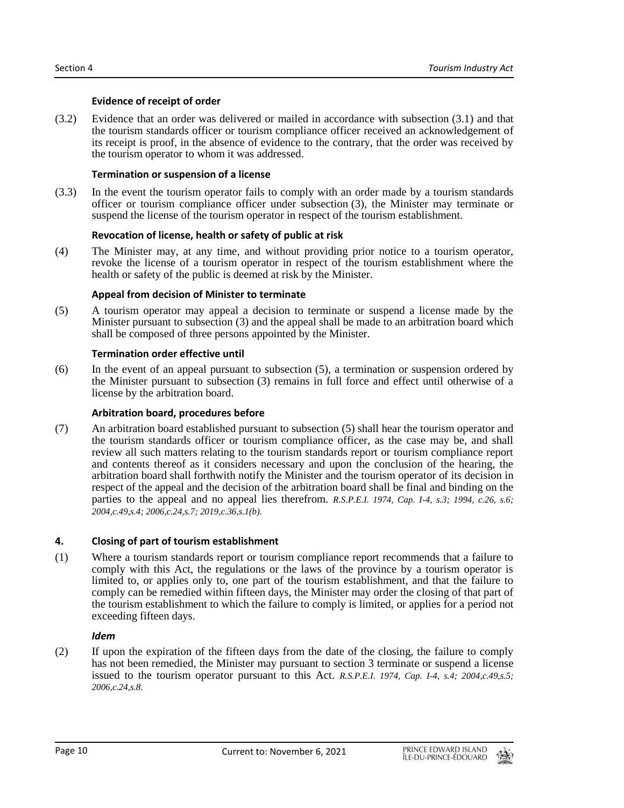# **Evidence of receipt of order**

(3.2) Evidence that an order was delivered or mailed in accordance with subsection (3.1) and that the tourism standards officer or tourism compliance officer received an acknowledgement of its receipt is proof, in the absence of evidence to the contrary, that the order was received by the tourism operator to whom it was addressed.

# **Termination or suspension of a license**

(3.3) In the event the tourism operator fails to comply with an order made by a tourism standards officer or tourism compliance officer under subsection (3), the Minister may terminate or suspend the license of the tourism operator in respect of the tourism establishment.

# **Revocation of license, health or safety of public at risk**

(4) The Minister may, at any time, and without providing prior notice to a tourism operator, revoke the license of a tourism operator in respect of the tourism establishment where the health or safety of the public is deemed at risk by the Minister.

# **Appeal from decision of Minister to terminate**

(5) A tourism operator may appeal a decision to terminate or suspend a license made by the Minister pursuant to subsection (3) and the appeal shall be made to an arbitration board which shall be composed of three persons appointed by the Minister.

# **Termination order effective until**

(6) In the event of an appeal pursuant to subsection (5), a termination or suspension ordered by the Minister pursuant to subsection (3) remains in full force and effect until otherwise of a license by the arbitration board.

# **Arbitration board, procedures before**

(7) An arbitration board established pursuant to subsection (5) shall hear the tourism operator and the tourism standards officer or tourism compliance officer, as the case may be, and shall review all such matters relating to the tourism standards report or tourism compliance report and contents thereof as it considers necessary and upon the conclusion of the hearing, the arbitration board shall forthwith notify the Minister and the tourism operator of its decision in respect of the appeal and the decision of the arbitration board shall be final and binding on the parties to the appeal and no appeal lies therefrom. *R.S.P.E.I. 1974, Cap. I-4, s.3; 1994, c.26, s.6; 2004,c.49,s.4; 2006,c.24,s.7; 2019,c.36,s.1(b).*

# <span id="page-9-0"></span>**4. Closing of part of tourism establishment**

(1) Where a tourism standards report or tourism compliance report recommends that a failure to comply with this Act, the regulations or the laws of the province by a tourism operator is limited to, or applies only to, one part of the tourism establishment, and that the failure to comply can be remedied within fifteen days, the Minister may order the closing of that part of the tourism establishment to which the failure to comply is limited, or applies for a period not exceeding fifteen days.

#### *Idem*

(2) If upon the expiration of the fifteen days from the date of the closing, the failure to comply has not been remedied, the Minister may pursuant to section 3 terminate or suspend a license issued to the tourism operator pursuant to this Act. *R.S.P.E.I. 1974, Cap. I-4, s.4; 2004,c.49,s.5; 2006,c.24,s.8.*

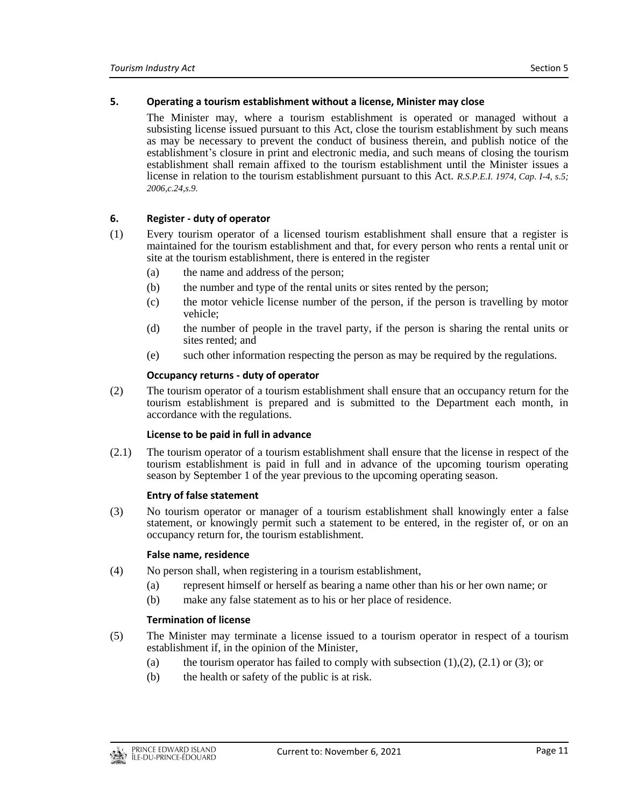#### <span id="page-10-0"></span>**5. Operating a tourism establishment without a license, Minister may close**

The Minister may, where a tourism establishment is operated or managed without a subsisting license issued pursuant to this Act, close the tourism establishment by such means as may be necessary to prevent the conduct of business therein, and publish notice of the establishment's closure in print and electronic media, and such means of closing the tourism establishment shall remain affixed to the tourism establishment until the Minister issues a license in relation to the tourism establishment pursuant to this Act. *R.S.P.E.I. 1974, Cap. I-4, s.5; 2006,c.24,s.9.*

#### <span id="page-10-1"></span>**6. Register - duty of operator**

- (1) Every tourism operator of a licensed tourism establishment shall ensure that a register is maintained for the tourism establishment and that, for every person who rents a rental unit or site at the tourism establishment, there is entered in the register
	- (a) the name and address of the person;
	- (b) the number and type of the rental units or sites rented by the person;
	- (c) the motor vehicle license number of the person, if the person is travelling by motor vehicle;
	- (d) the number of people in the travel party, if the person is sharing the rental units or sites rented; and
	- (e) such other information respecting the person as may be required by the regulations.

#### **Occupancy returns - duty of operator**

(2) The tourism operator of a tourism establishment shall ensure that an occupancy return for the tourism establishment is prepared and is submitted to the Department each month, in accordance with the regulations.

#### **License to be paid in full in advance**

(2.1) The tourism operator of a tourism establishment shall ensure that the license in respect of the tourism establishment is paid in full and in advance of the upcoming tourism operating season by September 1 of the year previous to the upcoming operating season.

#### **Entry of false statement**

(3) No tourism operator or manager of a tourism establishment shall knowingly enter a false statement, or knowingly permit such a statement to be entered, in the register of, or on an occupancy return for, the tourism establishment.

#### **False name, residence**

- (4) No person shall, when registering in a tourism establishment,
	- (a) represent himself or herself as bearing a name other than his or her own name; or
	- (b) make any false statement as to his or her place of residence.

#### **Termination of license**

- (5) The Minister may terminate a license issued to a tourism operator in respect of a tourism establishment if, in the opinion of the Minister,
	- (a) the tourism operator has failed to comply with subsection  $(1),(2),(2,1)$  or  $(3)$ ; or
	- (b) the health or safety of the public is at risk.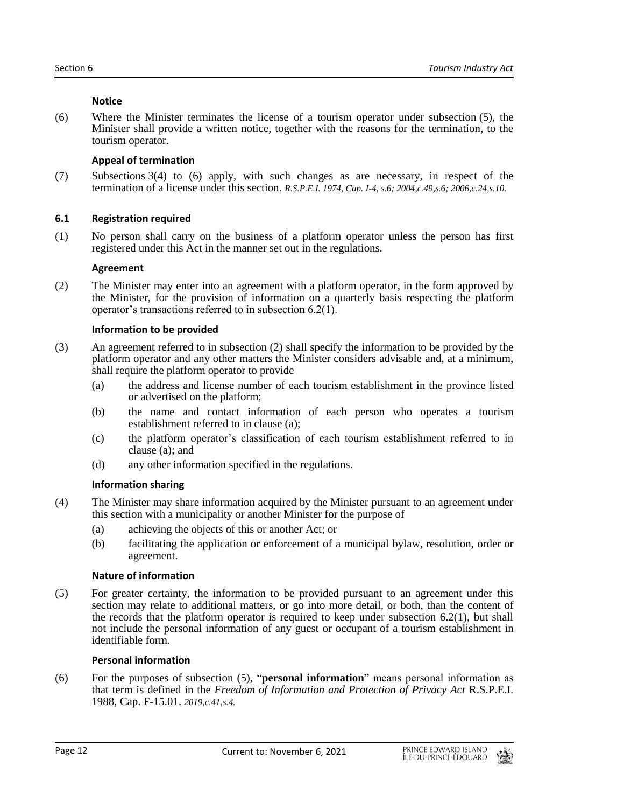#### **Notice**

(6) Where the Minister terminates the license of a tourism operator under subsection (5), the Minister shall provide a written notice, together with the reasons for the termination, to the tourism operator.

# **Appeal of termination**

(7) Subsections 3(4) to (6) apply, with such changes as are necessary, in respect of the termination of a license under this section. *R.S.P.E.I. 1974, Cap. I-4, s.6; 2004,c.49,s.6; 2006,c.24,s.10.*

# <span id="page-11-0"></span>**6.1 Registration required**

(1) No person shall carry on the business of a platform operator unless the person has first registered under this Act in the manner set out in the regulations.

# **Agreement**

(2) The Minister may enter into an agreement with a platform operator, in the form approved by the Minister, for the provision of information on a quarterly basis respecting the platform operator's transactions referred to in subsection 6.2(1).

# **Information to be provided**

- (3) An agreement referred to in subsection (2) shall specify the information to be provided by the platform operator and any other matters the Minister considers advisable and, at a minimum, shall require the platform operator to provide
	- (a) the address and license number of each tourism establishment in the province listed or advertised on the platform;
	- (b) the name and contact information of each person who operates a tourism establishment referred to in clause (a);
	- (c) the platform operator's classification of each tourism establishment referred to in clause (a); and
	- (d) any other information specified in the regulations.

# **Information sharing**

- (4) The Minister may share information acquired by the Minister pursuant to an agreement under this section with a municipality or another Minister for the purpose of
	- (a) achieving the objects of this or another Act; or
	- (b) facilitating the application or enforcement of a municipal bylaw, resolution, order or agreement.

#### **Nature of information**

(5) For greater certainty, the information to be provided pursuant to an agreement under this section may relate to additional matters, or go into more detail, or both, than the content of the records that the platform operator is required to keep under subsection  $6.2(1)$ , but shall not include the personal information of any guest or occupant of a tourism establishment in identifiable form.

#### **Personal information**

(6) For the purposes of subsection (5), "**personal information**" means personal information as that term is defined in the *Freedom of Information and Protection of Privacy Act* R.S.P.E.I. 1988, Cap. F-15.01. *2019,c.41,s.4.*

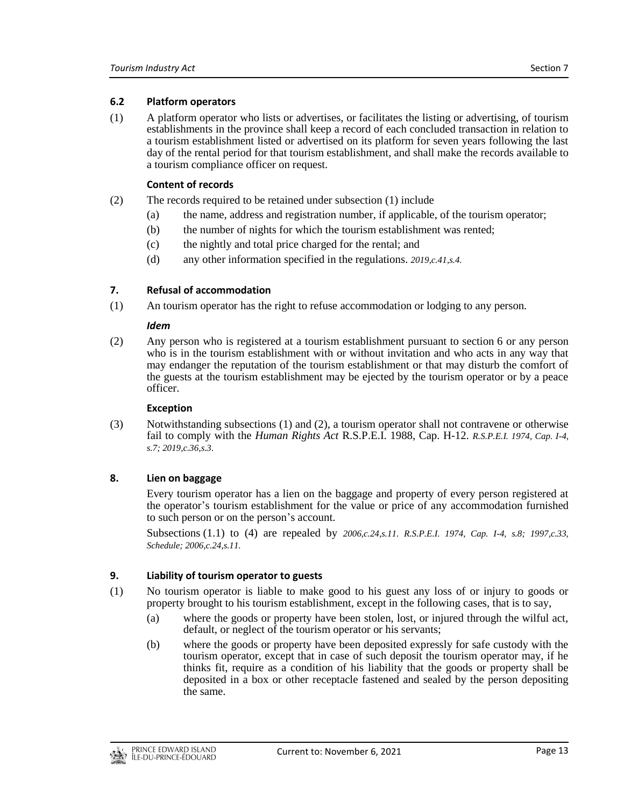# <span id="page-12-0"></span>**6.2 Platform operators**

(1) A platform operator who lists or advertises, or facilitates the listing or advertising, of tourism establishments in the province shall keep a record of each concluded transaction in relation to a tourism establishment listed or advertised on its platform for seven years following the last day of the rental period for that tourism establishment, and shall make the records available to a tourism compliance officer on request.

# **Content of records**

- (2) The records required to be retained under subsection (1) include
	- (a) the name, address and registration number, if applicable, of the tourism operator;
	- (b) the number of nights for which the tourism establishment was rented;
	- (c) the nightly and total price charged for the rental; and
	- (d) any other information specified in the regulations. *2019,c.41,s.4.*

# <span id="page-12-1"></span>**7. Refusal of accommodation**

(1) An tourism operator has the right to refuse accommodation or lodging to any person.

#### *Idem*

(2) Any person who is registered at a tourism establishment pursuant to section 6 or any person who is in the tourism establishment with or without invitation and who acts in any way that may endanger the reputation of the tourism establishment or that may disturb the comfort of the guests at the tourism establishment may be ejected by the tourism operator or by a peace officer.

#### **Exception**

(3) Notwithstanding subsections (1) and (2), a tourism operator shall not contravene or otherwise fail to comply with the *Human Rights Act* R.S.P.E.I. 1988, Cap. H-12. *R.S.P.E.I. 1974, Cap. I-4, s.7; 2019,c.36,s.3.*

# <span id="page-12-2"></span>**8. Lien on baggage**

Every tourism operator has a lien on the baggage and property of every person registered at the operator's tourism establishment for the value or price of any accommodation furnished to such person or on the person's account.

Subsections (1.1) to (4) are repealed by *2006,c.24,s.11. R.S.P.E.I. 1974, Cap. I-4, s.8; 1997,c.33, Schedule; 2006,c.24,s.11.*

# <span id="page-12-3"></span>**9. Liability of tourism operator to guests**

- (1) No tourism operator is liable to make good to his guest any loss of or injury to goods or property brought to his tourism establishment, except in the following cases, that is to say,
	- (a) where the goods or property have been stolen, lost, or injured through the wilful act, default, or neglect of the tourism operator or his servants;
	- (b) where the goods or property have been deposited expressly for safe custody with the tourism operator, except that in case of such deposit the tourism operator may, if he thinks fit, require as a condition of his liability that the goods or property shall be deposited in a box or other receptacle fastened and sealed by the person depositing the same.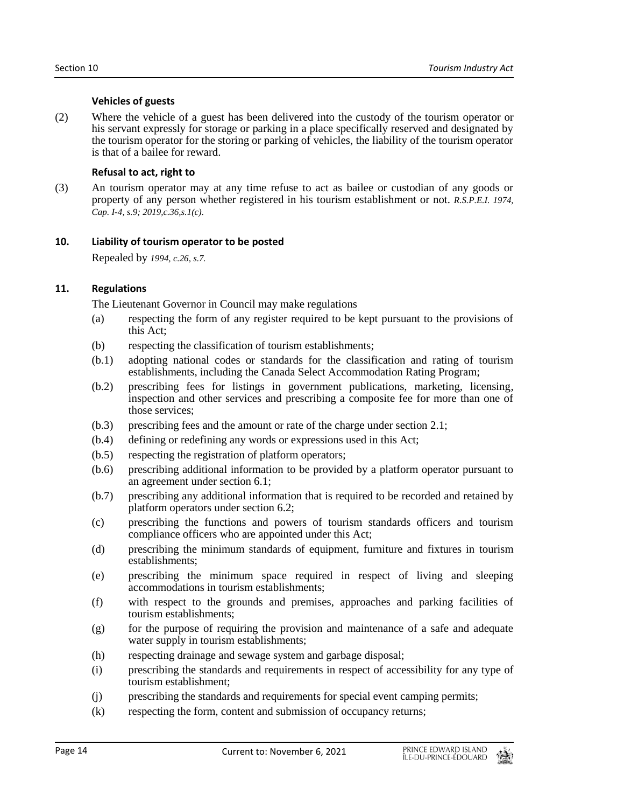#### **Vehicles of guests**

(2) Where the vehicle of a guest has been delivered into the custody of the tourism operator or his servant expressly for storage or parking in a place specifically reserved and designated by the tourism operator for the storing or parking of vehicles, the liability of the tourism operator is that of a bailee for reward.

#### **Refusal to act, right to**

(3) An tourism operator may at any time refuse to act as bailee or custodian of any goods or property of any person whether registered in his tourism establishment or not. *R.S.P.E.I. 1974, Cap. I-4, s.9; 2019,c.36,s.1(c).*

#### <span id="page-13-0"></span>**10. Liability of tourism operator to be posted**

Repealed by *1994, c.26, s.7.*

# <span id="page-13-1"></span>**11. Regulations**

The Lieutenant Governor in Council may make regulations

- (a) respecting the form of any register required to be kept pursuant to the provisions of this Act;
- (b) respecting the classification of tourism establishments;
- (b.1) adopting national codes or standards for the classification and rating of tourism establishments, including the Canada Select Accommodation Rating Program;
- (b.2) prescribing fees for listings in government publications, marketing, licensing, inspection and other services and prescribing a composite fee for more than one of those services;
- (b.3) prescribing fees and the amount or rate of the charge under section 2.1;
- (b.4) defining or redefining any words or expressions used in this Act;
- (b.5) respecting the registration of platform operators;
- (b.6) prescribing additional information to be provided by a platform operator pursuant to an agreement under section 6.1;
- (b.7) prescribing any additional information that is required to be recorded and retained by platform operators under section 6.2;
- (c) prescribing the functions and powers of tourism standards officers and tourism compliance officers who are appointed under this Act;
- (d) prescribing the minimum standards of equipment, furniture and fixtures in tourism establishments;
- (e) prescribing the minimum space required in respect of living and sleeping accommodations in tourism establishments;
- (f) with respect to the grounds and premises, approaches and parking facilities of tourism establishments;
- (g) for the purpose of requiring the provision and maintenance of a safe and adequate water supply in tourism establishments;
- (h) respecting drainage and sewage system and garbage disposal;
- (i) prescribing the standards and requirements in respect of accessibility for any type of tourism establishment;
- (j) prescribing the standards and requirements for special event camping permits;
- (k) respecting the form, content and submission of occupancy returns;